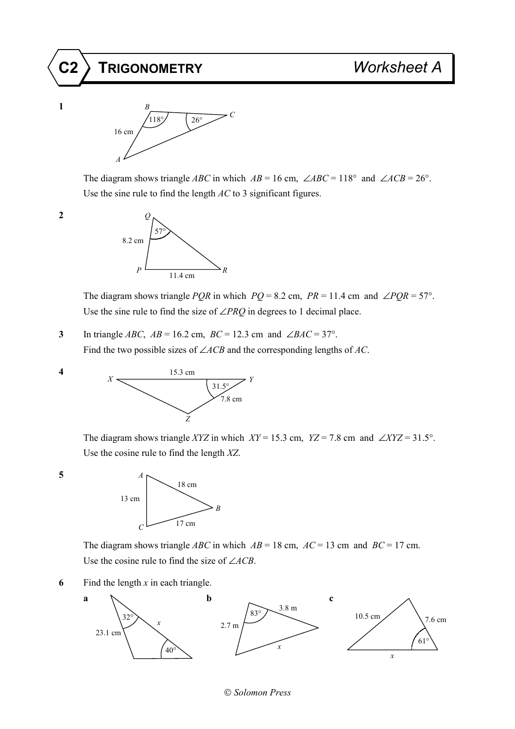**C2 TRIGONOMETRY** *Worksheet A* 

**1** *B*  $118^{\circ}$  16 cm *A*   $\overline{26^\circ}$  C

> The diagram shows triangle *ABC* in which  $AB = 16$  cm,  $\angle ABC = 118^\circ$  and  $\angle ACB = 26^\circ$ . Use the sine rule to find the length *AC* to 3 significant figures.



The diagram shows triangle *PQR* in which  $PQ = 8.2$  cm,  $PR = 11.4$  cm and ∠*PQR* = 57°. Use the sine rule to find the size of ∠*PRQ* in degrees to 1 decimal place.

3 In triangle *ABC*,  $AB = 16.2$  cm,  $BC = 12.3$  cm and  $\angle BAC = 37^{\circ}$ . Find the two possible sizes of ∠*ACB* and the corresponding lengths of *AC*.



The diagram shows triangle *XYZ* in which  $XY = 15.3$  cm,  $YZ = 7.8$  cm and  $\angle XYZ = 31.5^{\circ}$ . Use the cosine rule to find the length *XZ*.



The diagram shows triangle *ABC* in which  $AB = 18$  cm,  $AC = 13$  cm and  $BC = 17$  cm. Use the cosine rule to find the size of ∠*ACB*.

**6** Find the length *x* in each triangle.



*Solomon Press*